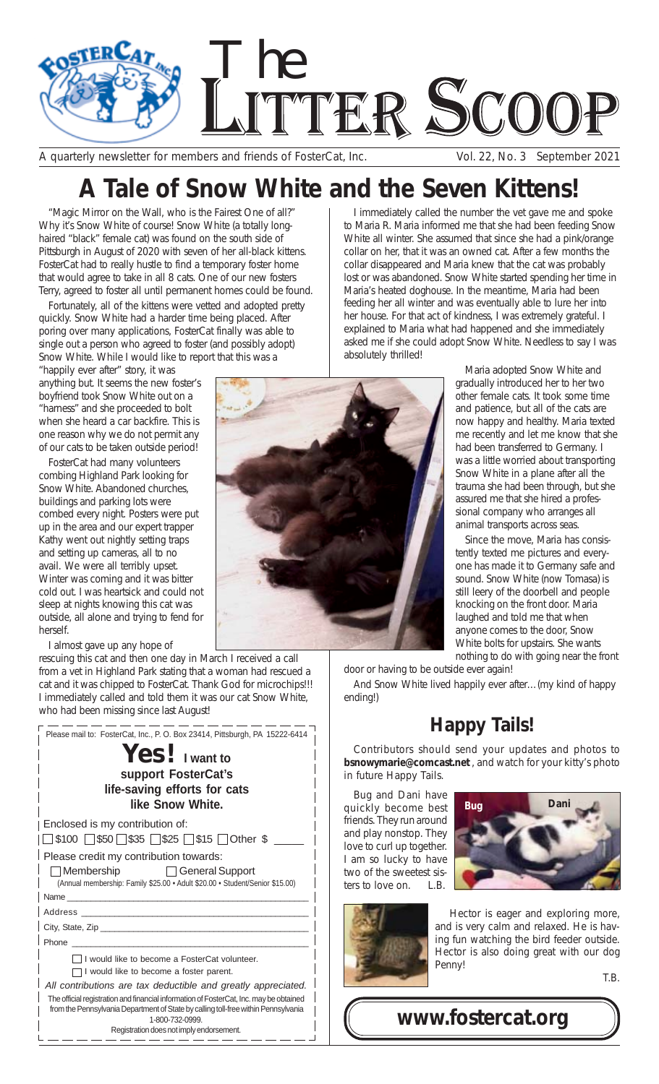

A quarterly newsletter for members and friends of FosterCat, Inc. Vol. 22, No. 3 September 2021

I immediately called the number the vet gave me and spoke to Maria R. Maria informed me that she had been feeding Snow White all winter. She assumed that since she had a pink/orange collar on her, that it was an owned cat. After a few months the collar disappeared and Maria knew that the cat was probably lost or was abandoned. Snow White started spending her time in Maria's heated doghouse. In the meantime, Maria had been feeding her all winter and was eventually able to lure her into her house. For that act of kindness, I was extremely grateful. I explained to Maria what had happened and she immediately asked me if she could adopt Snow White. Needless to say I was

## **A Tale of Snow White and the Seven Kittens!**

"Magic Mirror on the Wall, who is the Fairest One of all?" Why it's Snow White of course! Snow White (a totally longhaired "black" female cat) was found on the south side of Pittsburgh in August of 2020 with seven of her all-black kittens. FosterCat had to really hustle to find a temporary foster home that would agree to take in all 8 cats. One of our new fosters Terry, agreed to foster all until permanent homes could be found.

Fortunately, all of the kittens were vetted and adopted pretty quickly. Snow White had a harder time being placed. After poring over many applications, FosterCat finally was able to single out a person who agreed to foster (and possibly adopt) Snow White. While I would like to report that this was a

"happily ever after" story, it was anything but. It seems the new foster's boyfriend took Snow White out on a "harness" and she proceeded to bolt when she heard a car backfire. This is one reason why we do not permit any of our cats to be taken outside period!

FosterCat had many volunteers combing Highland Park looking for Snow White. Abandoned churches, buildings and parking lots were combed every night. Posters were put up in the area and our expert trapper Kathy went out nightly setting traps and setting up cameras, all to no avail. We were all terribly upset. Winter was coming and it was bitter cold out. I was heartsick and could not sleep at nights knowing this cat was outside, all alone and trying to fend for herself.

I almost gave up any hope of

rescuing this cat and then one day in March I received a call from a vet in Highland Park stating that a woman had rescued a cat and it was chipped to FosterCat. Thank God for microchips!!! I immediately called and told them it was our cat Snow White, who had been missing since last August!

| Please mail to: FosterCat, Inc., P. O. Box 23414, Pittsburgh, PA 15222-6414                                                                                                                                                    |
|--------------------------------------------------------------------------------------------------------------------------------------------------------------------------------------------------------------------------------|
| $Yes!$ I want to                                                                                                                                                                                                               |
| support FosterCat's                                                                                                                                                                                                            |
| life-saving efforts for cats                                                                                                                                                                                                   |
| like Snow White.                                                                                                                                                                                                               |
| Enclosed is my contribution of:                                                                                                                                                                                                |
| □ \$100 □ \$50 □ \$35 □ \$25 □ \$15 □ Other \$                                                                                                                                                                                 |
| Please credit my contribution towards:                                                                                                                                                                                         |
| <b>Example 3</b> General Support<br>  Membership                                                                                                                                                                               |
| (Annual membership: Family \$25.00 · Adult \$20.00 · Student/Senior \$15.00)                                                                                                                                                   |
| Name and the contract of the contract of the contract of the contract of the contract of the contract of the contract of the contract of the contract of the contract of the contract of the contract of the contract of the c |
| Address and the contract of the contract of the contract of the contract of the contract of the contract of the                                                                                                                |
| City, State, Zip                                                                                                                                                                                                               |
|                                                                                                                                                                                                                                |
| I I would like to become a FosterCat volunteer.                                                                                                                                                                                |
| I would like to become a foster parent.                                                                                                                                                                                        |
| All contributions are tax deductible and greatly appreciated.                                                                                                                                                                  |
| The official registration and financial information of FosterCat, Inc. may be obtained<br>from the Pennsylvania Department of State by calling toll-free within Pennsylvania<br>1-800-732-0999.                                |
| Registration does not imply endorsement.                                                                                                                                                                                       |



absolutely thrilled!

door or having to be outside ever again!

And Snow White lived happily ever after…(my kind of happy ending!)

## **Happy Tails!**

Contributors should send your updates and photos to *bsnowymarie@comcast.net* , and watch for your kitty's photo in future Happy Tails.

Bug and Dani have quickly become best friends. They run around and play nonstop. They love to curl up together. I am so lucky to have two of the sweetest sisters to love on. L.B.



Hector is eager and exploring more, and is very calm and relaxed. He is hav-

**Bug Dani**

ing fun watching the bird feeder outside. Hector is also doing great with our dog Penny!





gradually introduced her to her two other female cats. It took some time and patience, but all of the cats are now happy and healthy. Maria texted me recently and let me know that she had been transferred to Germany. I was a little worried about transporting Snow White in a plane after all the trauma she had been through, but she assured me that she hired a professional company who arranges all animal transports across seas.

Maria adopted Snow White and

Since the move, Maria has consistently texted me pictures and everyone has made it to Germany safe and sound. Snow White (now Tomasa) is still leery of the doorbell and people knocking on the front door. Maria laughed and told me that when anyone comes to the door, Snow White bolts for upstairs. She wants nothing to do with going near the front